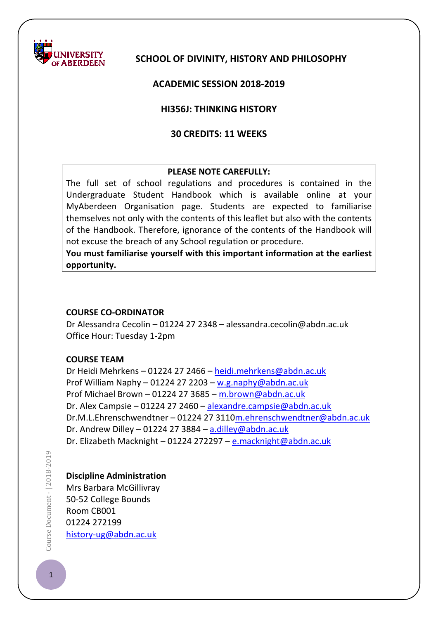

## **SCHOOL OF DIVINITY, HISTORY AND PHILOSOPHY**

### **ACADEMIC SESSION 2018-2019**

#### **HI356J: THINKING HISTORY**

### **30 CREDITS: 11 WEEKS**

#### **PLEASE NOTE CAREFULLY:**

The full set of school regulations and procedures is contained in the Undergraduate Student Handbook which is available online at your MyAberdeen Organisation page. Students are expected to familiarise themselves not only with the contents of this leaflet but also with the contents of the Handbook. Therefore, ignorance of the contents of the Handbook will not excuse the breach of any School regulation or procedure.

**You must familiarise yourself with this important information at the earliest opportunity.**

#### **COURSE CO-ORDINATOR**

Dr Alessandra Cecolin – 01224 27 2348 – alessandra.cecolin@abdn.ac.uk Office Hour: Tuesday 1-2pm

#### **COURSE TEAM**

Dr Heidi Mehrkens – 01224 27 2466 – [heidi.mehrkens@abdn.ac.uk](mailto:heidi.mehrkens@abdn.ac.uk) Prof William Naphy – 01224 27 2203 – [w.g.naphy@abdn.ac.uk](mailto:w.g.naphy@abdn.ac.uk) Prof Michael Brown – 01224 27 3685 – [m.brown@abdn.ac.uk](mailto:m.brown@abdn.ac.uk) Dr. Alex Campsie – 01224 27 2460 – [alexandre.campsie@abdn.ac.uk](mailto:alexandre.campsie@abdn.ac.uk) Dr.M.L.Ehrenschwendtner – 01224 27 311[0m.ehrenschwendtner@abdn.ac.uk](mailto:m.ehrenschwendtner@abdn.ac.uk) Dr. Andrew Dilley - 01224 27 3884 -  $a$ .dilley@abdn.ac.uk Dr. Elizabeth Macknight – 01224 272297 – [e.macknight@abdn.ac.uk](mailto:e.macknight@abdn.ac.uk)

Course Document - | 2018-2019  $\blacksquare$   $\blacksquare$  Document -  $\lceil 2018 \cdot 2019 \rceil$ 

## **Discipline Administration**

Mrs Barbara McGillivray 50-52 College Bounds Room CB001 01224 272199 [history-ug@abdn.ac.uk](mailto:history-ug@abdn.ac.uk)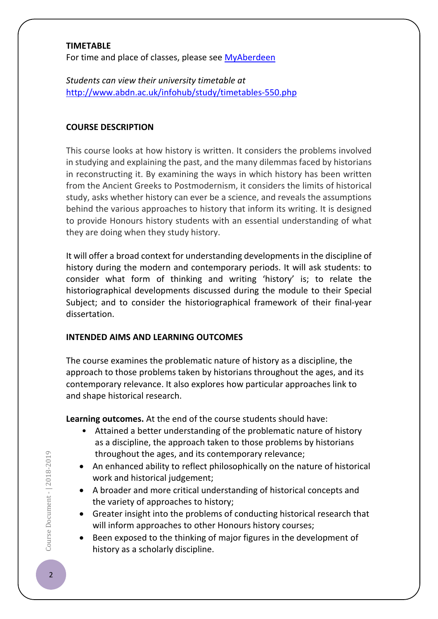#### **TIMETABLE**

For time and place of classes, please see [MyAberdeen](https://abdn.blackboard.com/)

*Students can view their university timetable at*  <http://www.abdn.ac.uk/infohub/study/timetables-550.php>

#### **COURSE DESCRIPTION**

This course looks at how history is written. It considers the problems involved in studying and explaining the past, and the many dilemmas faced by historians in reconstructing it. By examining the ways in which history has been written from the Ancient Greeks to Postmodernism, it considers the limits of historical study, asks whether history can ever be a science, and reveals the assumptions behind the various approaches to history that inform its writing. It is designed to provide Honours history students with an essential understanding of what they are doing when they study history.

It will offer a broad context for understanding developments in the discipline of history during the modern and contemporary periods. It will ask students: to consider what form of thinking and writing 'history' is; to relate the historiographical developments discussed during the module to their Special Subject; and to consider the historiographical framework of their final-year dissertation.

## **INTENDED AIMS AND LEARNING OUTCOMES**

The course examines the problematic nature of history as a discipline, the approach to those problems taken by historians throughout the ages, and its contemporary relevance. It also explores how particular approaches link to and shape historical research.

**Learning outcomes.** At the end of the course students should have:

- Attained a better understanding of the problematic nature of history as a discipline, the approach taken to those problems by historians throughout the ages, and its contemporary relevance;
- An enhanced ability to reflect philosophically on the nature of historical work and historical judgement;
- A broader and more critical understanding of historical concepts and the variety of approaches to history;
- Greater insight into the problems of conducting historical research that will inform approaches to other Honours history courses;
- Been exposed to the thinking of major figures in the development of history as a scholarly discipline.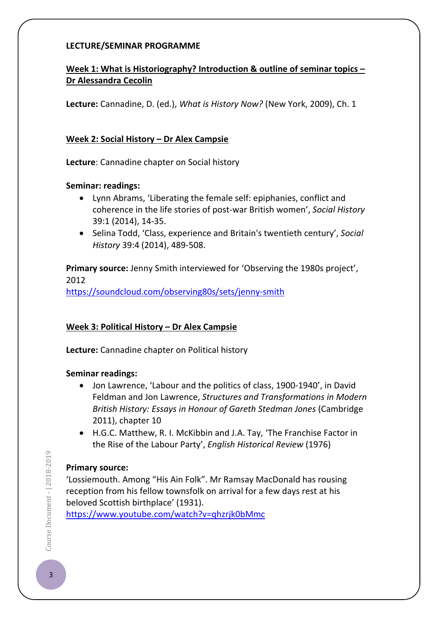## **LECTURE/SEMINAR PROGRAMME**

## **Week 1: What is Historiography? Introduction & outline of seminar topics – Dr Alessandra Cecolin**

**Lecture:** Cannadine, D. (ed.), *What is History Now?* (New York, 2009), Ch. 1

### **Week 2: Social History – Dr Alex Campsie**

**Lecture**: Cannadine chapter on Social history

### **Seminar: readings:**

- Lynn Abrams, 'Liberating the female self: epiphanies, conflict and coherence in the life stories of post-war British women', *Social History* 39:1 (2014), 14-35.
- Selina Todd, 'Class, experience and Britain's twentieth century', *Social History* 39:4 (2014), 489-508.

**Primary source:** Jenny Smith interviewed for 'Observing the 1980s project', 2012

<https://soundcloud.com/observing80s/sets/jenny-smith>

## **Week 3: Political History – Dr Alex Campsie**

**Lecture:** Cannadine chapter on Political history

## **Seminar readings:**

- Jon Lawrence, 'Labour and the politics of class, 1900-1940', in David Feldman and Jon Lawrence, *Structures and Transformations in Modern British History: Essays in Honour of Gareth Stedman Jones* (Cambridge 2011), chapter 10
- H.G.C. Matthew, R. I. McKibbin and J.A. Tay, 'The Franchise Factor in the Rise of the Labour Party', *English Historical Review* (1976)

## **Primary source:**

'Lossiemouth. Among "His Ain Folk". Mr Ramsay MacDonald has rousing reception from his fellow townsfolk on arrival for a few days rest at his beloved Scottish birthplace' (1931).

<https://www.youtube.com/watch?v=qhzrjk0bMmc>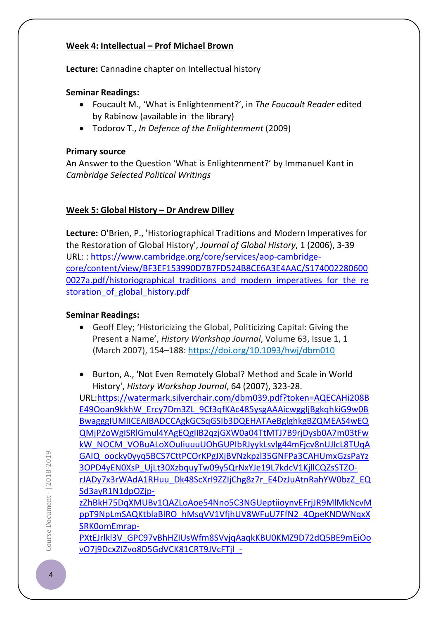## **Week 4: Intellectual – Prof Michael Brown**

**Lecture:** Cannadine chapter on Intellectual history

## **Seminar Readings:**

- Foucault M., 'What is Enlightenment?', in *The Foucault Reader* edited by Rabinow (available in the library)
- Todorov T., *In Defence of the Enlightenment* (2009)

## **Primary source**

An Answer to the Question 'What is Enlightenment?' by Immanuel Kant in *Cambridge Selected Political Writings*

# **Week 5: Global History – Dr Andrew Dilley**

**Lecture:** O'Brien, P., 'Historiographical Traditions and Modern Imperatives for the Restoration of Global History', *Journal of Global History*, 1 (2006), 3-39 URL: : [https://www.cambridge.org/core/services/aop-cambridge](https://www.cambridge.org/core/services/aop-cambridge-core/content/view/BF3EF153990D7B7FD524B8CE6A3E4AAC/S1740022806000027a.pdf/historiographical_traditions_and_modern_imperatives_for_the_restoration_of_global_history.pdf)[core/content/view/BF3EF153990D7B7FD524B8CE6A3E4AAC/S174002280600](https://www.cambridge.org/core/services/aop-cambridge-core/content/view/BF3EF153990D7B7FD524B8CE6A3E4AAC/S1740022806000027a.pdf/historiographical_traditions_and_modern_imperatives_for_the_restoration_of_global_history.pdf) 0027a.pdf/historiographical traditions and modern imperatives for the re storation of global history.pdf

# **Seminar Readings:**

- Geoff Eley; 'Historicizing the Global, Politicizing Capital: Giving the Present a Name', *History Workshop Journal*, Volume 63, Issue 1, 1 (March 2007), 154–188:<https://doi.org/10.1093/hwj/dbm010>
- Burton, A., 'Not Even Remotely Global? Method and Scale in World History', *History Workshop Journal*, 64 (2007), 323-28.

URL[:https://watermark.silverchair.com/dbm039.pdf?token=AQECAHi208B](https://watermark.silverchair.com/dbm039.pdf?token=AQECAHi208BE49Ooan9kkhW_Ercy7Dm3ZL_9Cf3qfKAc485ysgAAAicwggIjBgkqhkiG9w0BBwagggIUMIICEAIBADCCAgkGCSqGSIb3DQEHATAeBglghkgBZQMEAS4wEQQMjPZoWgISRlGmul4YAgEQgIIB2qzjGXW0a04TtMTJ7B9rjDysb0A7m03tFwkW_NOCM_VOBuALoXOuIiuuuUOhGUPIbRJyykLsvlg44mFjcv8nUJIcL8TUqAGAIQ_oocky0yyq5BCS7CttPCOrKPgJXjBVNzkpzl35GNFPa3CAHUmxGzsPaYz3OPD4yEN0XsP_UjLt30XzbquyTw09y5QrNxYJe19L7kdcV1KjllCQZsSTZO-rJADy7x3rWAdA1RHuu_Dk48ScXrI9ZZIjChg8z7r_E4DzJuAtnRahYW0bzZ_EQSd3ayR1N1dpOZjp-zZhBkH75DqXMUBv1QAZLoAoe54Nno5C3NGUeptiioynvEFrjJR9MlMkNcvMppT9NpLmSAQKtblaBlRO_hMsqVV1VfjhUV8WFuU7FfN2_4QpeKNDWNqxXSRK0omEmrap-PXtEJrlkl3V_GPC97vBhHZIUsWfm8SVvjqAaqkKBU0KMZ9D72dQ5BE9mEiOovO7j9DcxZIZvo8D5GdVCK81CRT9JVcFTjl_-tGm9mDqhjHAzoMMjYEokqkUHiJczjaHM62WeyBOCOwC3idyslyc85-gklNTmgjY8C6kQr6CZB6lQnWm4l7xQ6PZXUSCUQS8_HMzFSJ9Zuz12Xqi9QF1xA) [E49Ooan9kkhW\\_Ercy7Dm3ZL\\_9Cf3qfKAc485ysgAAAicwggIjBgkqhkiG9w0B](https://watermark.silverchair.com/dbm039.pdf?token=AQECAHi208BE49Ooan9kkhW_Ercy7Dm3ZL_9Cf3qfKAc485ysgAAAicwggIjBgkqhkiG9w0BBwagggIUMIICEAIBADCCAgkGCSqGSIb3DQEHATAeBglghkgBZQMEAS4wEQQMjPZoWgISRlGmul4YAgEQgIIB2qzjGXW0a04TtMTJ7B9rjDysb0A7m03tFwkW_NOCM_VOBuALoXOuIiuuuUOhGUPIbRJyykLsvlg44mFjcv8nUJIcL8TUqAGAIQ_oocky0yyq5BCS7CttPCOrKPgJXjBVNzkpzl35GNFPa3CAHUmxGzsPaYz3OPD4yEN0XsP_UjLt30XzbquyTw09y5QrNxYJe19L7kdcV1KjllCQZsSTZO-rJADy7x3rWAdA1RHuu_Dk48ScXrI9ZZIjChg8z7r_E4DzJuAtnRahYW0bzZ_EQSd3ayR1N1dpOZjp-zZhBkH75DqXMUBv1QAZLoAoe54Nno5C3NGUeptiioynvEFrjJR9MlMkNcvMppT9NpLmSAQKtblaBlRO_hMsqVV1VfjhUV8WFuU7FfN2_4QpeKNDWNqxXSRK0omEmrap-PXtEJrlkl3V_GPC97vBhHZIUsWfm8SVvjqAaqkKBU0KMZ9D72dQ5BE9mEiOovO7j9DcxZIZvo8D5GdVCK81CRT9JVcFTjl_-tGm9mDqhjHAzoMMjYEokqkUHiJczjaHM62WeyBOCOwC3idyslyc85-gklNTmgjY8C6kQr6CZB6lQnWm4l7xQ6PZXUSCUQS8_HMzFSJ9Zuz12Xqi9QF1xA) [BwagggIUMIICEAIBADCCAgkGCSqGSIb3DQEHATAeBglghkgBZQMEAS4wEQ](https://watermark.silverchair.com/dbm039.pdf?token=AQECAHi208BE49Ooan9kkhW_Ercy7Dm3ZL_9Cf3qfKAc485ysgAAAicwggIjBgkqhkiG9w0BBwagggIUMIICEAIBADCCAgkGCSqGSIb3DQEHATAeBglghkgBZQMEAS4wEQQMjPZoWgISRlGmul4YAgEQgIIB2qzjGXW0a04TtMTJ7B9rjDysb0A7m03tFwkW_NOCM_VOBuALoXOuIiuuuUOhGUPIbRJyykLsvlg44mFjcv8nUJIcL8TUqAGAIQ_oocky0yyq5BCS7CttPCOrKPgJXjBVNzkpzl35GNFPa3CAHUmxGzsPaYz3OPD4yEN0XsP_UjLt30XzbquyTw09y5QrNxYJe19L7kdcV1KjllCQZsSTZO-rJADy7x3rWAdA1RHuu_Dk48ScXrI9ZZIjChg8z7r_E4DzJuAtnRahYW0bzZ_EQSd3ayR1N1dpOZjp-zZhBkH75DqXMUBv1QAZLoAoe54Nno5C3NGUeptiioynvEFrjJR9MlMkNcvMppT9NpLmSAQKtblaBlRO_hMsqVV1VfjhUV8WFuU7FfN2_4QpeKNDWNqxXSRK0omEmrap-PXtEJrlkl3V_GPC97vBhHZIUsWfm8SVvjqAaqkKBU0KMZ9D72dQ5BE9mEiOovO7j9DcxZIZvo8D5GdVCK81CRT9JVcFTjl_-tGm9mDqhjHAzoMMjYEokqkUHiJczjaHM62WeyBOCOwC3idyslyc85-gklNTmgjY8C6kQr6CZB6lQnWm4l7xQ6PZXUSCUQS8_HMzFSJ9Zuz12Xqi9QF1xA) [QMjPZoWgISRlGmul4YAgEQgIIB2qzjGXW0a04TtMTJ7B9rjDysb0A7m03tFw](https://watermark.silverchair.com/dbm039.pdf?token=AQECAHi208BE49Ooan9kkhW_Ercy7Dm3ZL_9Cf3qfKAc485ysgAAAicwggIjBgkqhkiG9w0BBwagggIUMIICEAIBADCCAgkGCSqGSIb3DQEHATAeBglghkgBZQMEAS4wEQQMjPZoWgISRlGmul4YAgEQgIIB2qzjGXW0a04TtMTJ7B9rjDysb0A7m03tFwkW_NOCM_VOBuALoXOuIiuuuUOhGUPIbRJyykLsvlg44mFjcv8nUJIcL8TUqAGAIQ_oocky0yyq5BCS7CttPCOrKPgJXjBVNzkpzl35GNFPa3CAHUmxGzsPaYz3OPD4yEN0XsP_UjLt30XzbquyTw09y5QrNxYJe19L7kdcV1KjllCQZsSTZO-rJADy7x3rWAdA1RHuu_Dk48ScXrI9ZZIjChg8z7r_E4DzJuAtnRahYW0bzZ_EQSd3ayR1N1dpOZjp-zZhBkH75DqXMUBv1QAZLoAoe54Nno5C3NGUeptiioynvEFrjJR9MlMkNcvMppT9NpLmSAQKtblaBlRO_hMsqVV1VfjhUV8WFuU7FfN2_4QpeKNDWNqxXSRK0omEmrap-PXtEJrlkl3V_GPC97vBhHZIUsWfm8SVvjqAaqkKBU0KMZ9D72dQ5BE9mEiOovO7j9DcxZIZvo8D5GdVCK81CRT9JVcFTjl_-tGm9mDqhjHAzoMMjYEokqkUHiJczjaHM62WeyBOCOwC3idyslyc85-gklNTmgjY8C6kQr6CZB6lQnWm4l7xQ6PZXUSCUQS8_HMzFSJ9Zuz12Xqi9QF1xA) [kW\\_NOCM\\_VOBuALoXOuIiuuuUOhGUPIbRJyykLsvlg44mFjcv8nUJIcL8TUqA](https://watermark.silverchair.com/dbm039.pdf?token=AQECAHi208BE49Ooan9kkhW_Ercy7Dm3ZL_9Cf3qfKAc485ysgAAAicwggIjBgkqhkiG9w0BBwagggIUMIICEAIBADCCAgkGCSqGSIb3DQEHATAeBglghkgBZQMEAS4wEQQMjPZoWgISRlGmul4YAgEQgIIB2qzjGXW0a04TtMTJ7B9rjDysb0A7m03tFwkW_NOCM_VOBuALoXOuIiuuuUOhGUPIbRJyykLsvlg44mFjcv8nUJIcL8TUqAGAIQ_oocky0yyq5BCS7CttPCOrKPgJXjBVNzkpzl35GNFPa3CAHUmxGzsPaYz3OPD4yEN0XsP_UjLt30XzbquyTw09y5QrNxYJe19L7kdcV1KjllCQZsSTZO-rJADy7x3rWAdA1RHuu_Dk48ScXrI9ZZIjChg8z7r_E4DzJuAtnRahYW0bzZ_EQSd3ayR1N1dpOZjp-zZhBkH75DqXMUBv1QAZLoAoe54Nno5C3NGUeptiioynvEFrjJR9MlMkNcvMppT9NpLmSAQKtblaBlRO_hMsqVV1VfjhUV8WFuU7FfN2_4QpeKNDWNqxXSRK0omEmrap-PXtEJrlkl3V_GPC97vBhHZIUsWfm8SVvjqAaqkKBU0KMZ9D72dQ5BE9mEiOovO7j9DcxZIZvo8D5GdVCK81CRT9JVcFTjl_-tGm9mDqhjHAzoMMjYEokqkUHiJczjaHM62WeyBOCOwC3idyslyc85-gklNTmgjY8C6kQr6CZB6lQnWm4l7xQ6PZXUSCUQS8_HMzFSJ9Zuz12Xqi9QF1xA) [GAIQ\\_oocky0yyq5BCS7CttPCOrKPgJXjBVNzkpzl35GNFPa3CAHUmxGzsPaYz](https://watermark.silverchair.com/dbm039.pdf?token=AQECAHi208BE49Ooan9kkhW_Ercy7Dm3ZL_9Cf3qfKAc485ysgAAAicwggIjBgkqhkiG9w0BBwagggIUMIICEAIBADCCAgkGCSqGSIb3DQEHATAeBglghkgBZQMEAS4wEQQMjPZoWgISRlGmul4YAgEQgIIB2qzjGXW0a04TtMTJ7B9rjDysb0A7m03tFwkW_NOCM_VOBuALoXOuIiuuuUOhGUPIbRJyykLsvlg44mFjcv8nUJIcL8TUqAGAIQ_oocky0yyq5BCS7CttPCOrKPgJXjBVNzkpzl35GNFPa3CAHUmxGzsPaYz3OPD4yEN0XsP_UjLt30XzbquyTw09y5QrNxYJe19L7kdcV1KjllCQZsSTZO-rJADy7x3rWAdA1RHuu_Dk48ScXrI9ZZIjChg8z7r_E4DzJuAtnRahYW0bzZ_EQSd3ayR1N1dpOZjp-zZhBkH75DqXMUBv1QAZLoAoe54Nno5C3NGUeptiioynvEFrjJR9MlMkNcvMppT9NpLmSAQKtblaBlRO_hMsqVV1VfjhUV8WFuU7FfN2_4QpeKNDWNqxXSRK0omEmrap-PXtEJrlkl3V_GPC97vBhHZIUsWfm8SVvjqAaqkKBU0KMZ9D72dQ5BE9mEiOovO7j9DcxZIZvo8D5GdVCK81CRT9JVcFTjl_-tGm9mDqhjHAzoMMjYEokqkUHiJczjaHM62WeyBOCOwC3idyslyc85-gklNTmgjY8C6kQr6CZB6lQnWm4l7xQ6PZXUSCUQS8_HMzFSJ9Zuz12Xqi9QF1xA) [3OPD4yEN0XsP\\_UjLt30XzbquyTw09y5QrNxYJe19L7kdcV1KjllCQZsSTZO](https://watermark.silverchair.com/dbm039.pdf?token=AQECAHi208BE49Ooan9kkhW_Ercy7Dm3ZL_9Cf3qfKAc485ysgAAAicwggIjBgkqhkiG9w0BBwagggIUMIICEAIBADCCAgkGCSqGSIb3DQEHATAeBglghkgBZQMEAS4wEQQMjPZoWgISRlGmul4YAgEQgIIB2qzjGXW0a04TtMTJ7B9rjDysb0A7m03tFwkW_NOCM_VOBuALoXOuIiuuuUOhGUPIbRJyykLsvlg44mFjcv8nUJIcL8TUqAGAIQ_oocky0yyq5BCS7CttPCOrKPgJXjBVNzkpzl35GNFPa3CAHUmxGzsPaYz3OPD4yEN0XsP_UjLt30XzbquyTw09y5QrNxYJe19L7kdcV1KjllCQZsSTZO-rJADy7x3rWAdA1RHuu_Dk48ScXrI9ZZIjChg8z7r_E4DzJuAtnRahYW0bzZ_EQSd3ayR1N1dpOZjp-zZhBkH75DqXMUBv1QAZLoAoe54Nno5C3NGUeptiioynvEFrjJR9MlMkNcvMppT9NpLmSAQKtblaBlRO_hMsqVV1VfjhUV8WFuU7FfN2_4QpeKNDWNqxXSRK0omEmrap-PXtEJrlkl3V_GPC97vBhHZIUsWfm8SVvjqAaqkKBU0KMZ9D72dQ5BE9mEiOovO7j9DcxZIZvo8D5GdVCK81CRT9JVcFTjl_-tGm9mDqhjHAzoMMjYEokqkUHiJczjaHM62WeyBOCOwC3idyslyc85-gklNTmgjY8C6kQr6CZB6lQnWm4l7xQ6PZXUSCUQS8_HMzFSJ9Zuz12Xqi9QF1xA)[rJADy7x3rWAdA1RHuu\\_Dk48ScXrI9ZZIjChg8z7r\\_E4DzJuAtnRahYW0bzZ\\_EQ](https://watermark.silverchair.com/dbm039.pdf?token=AQECAHi208BE49Ooan9kkhW_Ercy7Dm3ZL_9Cf3qfKAc485ysgAAAicwggIjBgkqhkiG9w0BBwagggIUMIICEAIBADCCAgkGCSqGSIb3DQEHATAeBglghkgBZQMEAS4wEQQMjPZoWgISRlGmul4YAgEQgIIB2qzjGXW0a04TtMTJ7B9rjDysb0A7m03tFwkW_NOCM_VOBuALoXOuIiuuuUOhGUPIbRJyykLsvlg44mFjcv8nUJIcL8TUqAGAIQ_oocky0yyq5BCS7CttPCOrKPgJXjBVNzkpzl35GNFPa3CAHUmxGzsPaYz3OPD4yEN0XsP_UjLt30XzbquyTw09y5QrNxYJe19L7kdcV1KjllCQZsSTZO-rJADy7x3rWAdA1RHuu_Dk48ScXrI9ZZIjChg8z7r_E4DzJuAtnRahYW0bzZ_EQSd3ayR1N1dpOZjp-zZhBkH75DqXMUBv1QAZLoAoe54Nno5C3NGUeptiioynvEFrjJR9MlMkNcvMppT9NpLmSAQKtblaBlRO_hMsqVV1VfjhUV8WFuU7FfN2_4QpeKNDWNqxXSRK0omEmrap-PXtEJrlkl3V_GPC97vBhHZIUsWfm8SVvjqAaqkKBU0KMZ9D72dQ5BE9mEiOovO7j9DcxZIZvo8D5GdVCK81CRT9JVcFTjl_-tGm9mDqhjHAzoMMjYEokqkUHiJczjaHM62WeyBOCOwC3idyslyc85-gklNTmgjY8C6kQr6CZB6lQnWm4l7xQ6PZXUSCUQS8_HMzFSJ9Zuz12Xqi9QF1xA) [Sd3ayR1N1dpOZjp](https://watermark.silverchair.com/dbm039.pdf?token=AQECAHi208BE49Ooan9kkhW_Ercy7Dm3ZL_9Cf3qfKAc485ysgAAAicwggIjBgkqhkiG9w0BBwagggIUMIICEAIBADCCAgkGCSqGSIb3DQEHATAeBglghkgBZQMEAS4wEQQMjPZoWgISRlGmul4YAgEQgIIB2qzjGXW0a04TtMTJ7B9rjDysb0A7m03tFwkW_NOCM_VOBuALoXOuIiuuuUOhGUPIbRJyykLsvlg44mFjcv8nUJIcL8TUqAGAIQ_oocky0yyq5BCS7CttPCOrKPgJXjBVNzkpzl35GNFPa3CAHUmxGzsPaYz3OPD4yEN0XsP_UjLt30XzbquyTw09y5QrNxYJe19L7kdcV1KjllCQZsSTZO-rJADy7x3rWAdA1RHuu_Dk48ScXrI9ZZIjChg8z7r_E4DzJuAtnRahYW0bzZ_EQSd3ayR1N1dpOZjp-zZhBkH75DqXMUBv1QAZLoAoe54Nno5C3NGUeptiioynvEFrjJR9MlMkNcvMppT9NpLmSAQKtblaBlRO_hMsqVV1VfjhUV8WFuU7FfN2_4QpeKNDWNqxXSRK0omEmrap-PXtEJrlkl3V_GPC97vBhHZIUsWfm8SVvjqAaqkKBU0KMZ9D72dQ5BE9mEiOovO7j9DcxZIZvo8D5GdVCK81CRT9JVcFTjl_-tGm9mDqhjHAzoMMjYEokqkUHiJczjaHM62WeyBOCOwC3idyslyc85-gklNTmgjY8C6kQr6CZB6lQnWm4l7xQ6PZXUSCUQS8_HMzFSJ9Zuz12Xqi9QF1xA)[zZhBkH75DqXMUBv1QAZLoAoe54Nno5C3NGUeptiioynvEFrjJR9MlMkNcvM](https://watermark.silverchair.com/dbm039.pdf?token=AQECAHi208BE49Ooan9kkhW_Ercy7Dm3ZL_9Cf3qfKAc485ysgAAAicwggIjBgkqhkiG9w0BBwagggIUMIICEAIBADCCAgkGCSqGSIb3DQEHATAeBglghkgBZQMEAS4wEQQMjPZoWgISRlGmul4YAgEQgIIB2qzjGXW0a04TtMTJ7B9rjDysb0A7m03tFwkW_NOCM_VOBuALoXOuIiuuuUOhGUPIbRJyykLsvlg44mFjcv8nUJIcL8TUqAGAIQ_oocky0yyq5BCS7CttPCOrKPgJXjBVNzkpzl35GNFPa3CAHUmxGzsPaYz3OPD4yEN0XsP_UjLt30XzbquyTw09y5QrNxYJe19L7kdcV1KjllCQZsSTZO-rJADy7x3rWAdA1RHuu_Dk48ScXrI9ZZIjChg8z7r_E4DzJuAtnRahYW0bzZ_EQSd3ayR1N1dpOZjp-zZhBkH75DqXMUBv1QAZLoAoe54Nno5C3NGUeptiioynvEFrjJR9MlMkNcvMppT9NpLmSAQKtblaBlRO_hMsqVV1VfjhUV8WFuU7FfN2_4QpeKNDWNqxXSRK0omEmrap-PXtEJrlkl3V_GPC97vBhHZIUsWfm8SVvjqAaqkKBU0KMZ9D72dQ5BE9mEiOovO7j9DcxZIZvo8D5GdVCK81CRT9JVcFTjl_-tGm9mDqhjHAzoMMjYEokqkUHiJczjaHM62WeyBOCOwC3idyslyc85-gklNTmgjY8C6kQr6CZB6lQnWm4l7xQ6PZXUSCUQS8_HMzFSJ9Zuz12Xqi9QF1xA)

[ppT9NpLmSAQKtblaBlRO\\_hMsqVV1VfjhUV8WFuU7FfN2\\_4QpeKNDWNqxX](https://watermark.silverchair.com/dbm039.pdf?token=AQECAHi208BE49Ooan9kkhW_Ercy7Dm3ZL_9Cf3qfKAc485ysgAAAicwggIjBgkqhkiG9w0BBwagggIUMIICEAIBADCCAgkGCSqGSIb3DQEHATAeBglghkgBZQMEAS4wEQQMjPZoWgISRlGmul4YAgEQgIIB2qzjGXW0a04TtMTJ7B9rjDysb0A7m03tFwkW_NOCM_VOBuALoXOuIiuuuUOhGUPIbRJyykLsvlg44mFjcv8nUJIcL8TUqAGAIQ_oocky0yyq5BCS7CttPCOrKPgJXjBVNzkpzl35GNFPa3CAHUmxGzsPaYz3OPD4yEN0XsP_UjLt30XzbquyTw09y5QrNxYJe19L7kdcV1KjllCQZsSTZO-rJADy7x3rWAdA1RHuu_Dk48ScXrI9ZZIjChg8z7r_E4DzJuAtnRahYW0bzZ_EQSd3ayR1N1dpOZjp-zZhBkH75DqXMUBv1QAZLoAoe54Nno5C3NGUeptiioynvEFrjJR9MlMkNcvMppT9NpLmSAQKtblaBlRO_hMsqVV1VfjhUV8WFuU7FfN2_4QpeKNDWNqxXSRK0omEmrap-PXtEJrlkl3V_GPC97vBhHZIUsWfm8SVvjqAaqkKBU0KMZ9D72dQ5BE9mEiOovO7j9DcxZIZvo8D5GdVCK81CRT9JVcFTjl_-tGm9mDqhjHAzoMMjYEokqkUHiJczjaHM62WeyBOCOwC3idyslyc85-gklNTmgjY8C6kQr6CZB6lQnWm4l7xQ6PZXUSCUQS8_HMzFSJ9Zuz12Xqi9QF1xA) [SRK0omEmrap-](https://watermark.silverchair.com/dbm039.pdf?token=AQECAHi208BE49Ooan9kkhW_Ercy7Dm3ZL_9Cf3qfKAc485ysgAAAicwggIjBgkqhkiG9w0BBwagggIUMIICEAIBADCCAgkGCSqGSIb3DQEHATAeBglghkgBZQMEAS4wEQQMjPZoWgISRlGmul4YAgEQgIIB2qzjGXW0a04TtMTJ7B9rjDysb0A7m03tFwkW_NOCM_VOBuALoXOuIiuuuUOhGUPIbRJyykLsvlg44mFjcv8nUJIcL8TUqAGAIQ_oocky0yyq5BCS7CttPCOrKPgJXjBVNzkpzl35GNFPa3CAHUmxGzsPaYz3OPD4yEN0XsP_UjLt30XzbquyTw09y5QrNxYJe19L7kdcV1KjllCQZsSTZO-rJADy7x3rWAdA1RHuu_Dk48ScXrI9ZZIjChg8z7r_E4DzJuAtnRahYW0bzZ_EQSd3ayR1N1dpOZjp-zZhBkH75DqXMUBv1QAZLoAoe54Nno5C3NGUeptiioynvEFrjJR9MlMkNcvMppT9NpLmSAQKtblaBlRO_hMsqVV1VfjhUV8WFuU7FfN2_4QpeKNDWNqxXSRK0omEmrap-PXtEJrlkl3V_GPC97vBhHZIUsWfm8SVvjqAaqkKBU0KMZ9D72dQ5BE9mEiOovO7j9DcxZIZvo8D5GdVCK81CRT9JVcFTjl_-tGm9mDqhjHAzoMMjYEokqkUHiJczjaHM62WeyBOCOwC3idyslyc85-gklNTmgjY8C6kQr6CZB6lQnWm4l7xQ6PZXUSCUQS8_HMzFSJ9Zuz12Xqi9QF1xA)

[PXtEJrlkl3V\\_GPC97vBhHZIUsWfm8SVvjqAaqkKBU0KMZ9D72dQ5BE9mEiOo](https://watermark.silverchair.com/dbm039.pdf?token=AQECAHi208BE49Ooan9kkhW_Ercy7Dm3ZL_9Cf3qfKAc485ysgAAAicwggIjBgkqhkiG9w0BBwagggIUMIICEAIBADCCAgkGCSqGSIb3DQEHATAeBglghkgBZQMEAS4wEQQMjPZoWgISRlGmul4YAgEQgIIB2qzjGXW0a04TtMTJ7B9rjDysb0A7m03tFwkW_NOCM_VOBuALoXOuIiuuuUOhGUPIbRJyykLsvlg44mFjcv8nUJIcL8TUqAGAIQ_oocky0yyq5BCS7CttPCOrKPgJXjBVNzkpzl35GNFPa3CAHUmxGzsPaYz3OPD4yEN0XsP_UjLt30XzbquyTw09y5QrNxYJe19L7kdcV1KjllCQZsSTZO-rJADy7x3rWAdA1RHuu_Dk48ScXrI9ZZIjChg8z7r_E4DzJuAtnRahYW0bzZ_EQSd3ayR1N1dpOZjp-zZhBkH75DqXMUBv1QAZLoAoe54Nno5C3NGUeptiioynvEFrjJR9MlMkNcvMppT9NpLmSAQKtblaBlRO_hMsqVV1VfjhUV8WFuU7FfN2_4QpeKNDWNqxXSRK0omEmrap-PXtEJrlkl3V_GPC97vBhHZIUsWfm8SVvjqAaqkKBU0KMZ9D72dQ5BE9mEiOovO7j9DcxZIZvo8D5GdVCK81CRT9JVcFTjl_-tGm9mDqhjHAzoMMjYEokqkUHiJczjaHM62WeyBOCOwC3idyslyc85-gklNTmgjY8C6kQr6CZB6lQnWm4l7xQ6PZXUSCUQS8_HMzFSJ9Zuz12Xqi9QF1xA) [vO7j9DcxZIZvo8D5GdVCK81CRT9JVcFTjl\\_-](https://watermark.silverchair.com/dbm039.pdf?token=AQECAHi208BE49Ooan9kkhW_Ercy7Dm3ZL_9Cf3qfKAc485ysgAAAicwggIjBgkqhkiG9w0BBwagggIUMIICEAIBADCCAgkGCSqGSIb3DQEHATAeBglghkgBZQMEAS4wEQQMjPZoWgISRlGmul4YAgEQgIIB2qzjGXW0a04TtMTJ7B9rjDysb0A7m03tFwkW_NOCM_VOBuALoXOuIiuuuUOhGUPIbRJyykLsvlg44mFjcv8nUJIcL8TUqAGAIQ_oocky0yyq5BCS7CttPCOrKPgJXjBVNzkpzl35GNFPa3CAHUmxGzsPaYz3OPD4yEN0XsP_UjLt30XzbquyTw09y5QrNxYJe19L7kdcV1KjllCQZsSTZO-rJADy7x3rWAdA1RHuu_Dk48ScXrI9ZZIjChg8z7r_E4DzJuAtnRahYW0bzZ_EQSd3ayR1N1dpOZjp-zZhBkH75DqXMUBv1QAZLoAoe54Nno5C3NGUeptiioynvEFrjJR9MlMkNcvMppT9NpLmSAQKtblaBlRO_hMsqVV1VfjhUV8WFuU7FfN2_4QpeKNDWNqxXSRK0omEmrap-PXtEJrlkl3V_GPC97vBhHZIUsWfm8SVvjqAaqkKBU0KMZ9D72dQ5BE9mEiOovO7j9DcxZIZvo8D5GdVCK81CRT9JVcFTjl_-tGm9mDqhjHAzoMMjYEokqkUHiJczjaHM62WeyBOCOwC3idyslyc85-gklNTmgjY8C6kQr6CZB6lQnWm4l7xQ6PZXUSCUQS8_HMzFSJ9Zuz12Xqi9QF1xA)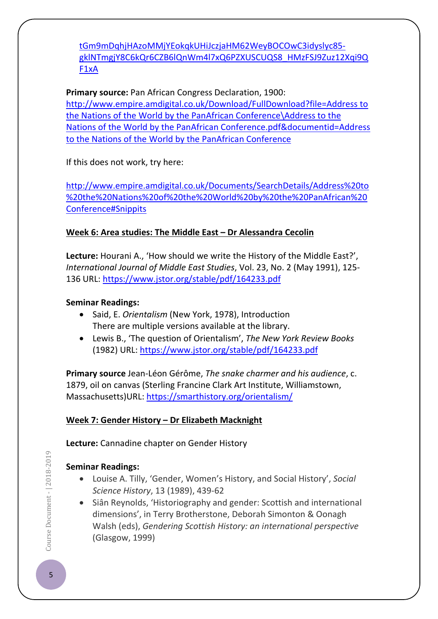[tGm9mDqhjHAzoMMjYEokqkUHiJczjaHM62WeyBOCOwC3idyslyc85](https://watermark.silverchair.com/dbm039.pdf?token=AQECAHi208BE49Ooan9kkhW_Ercy7Dm3ZL_9Cf3qfKAc485ysgAAAicwggIjBgkqhkiG9w0BBwagggIUMIICEAIBADCCAgkGCSqGSIb3DQEHATAeBglghkgBZQMEAS4wEQQMjPZoWgISRlGmul4YAgEQgIIB2qzjGXW0a04TtMTJ7B9rjDysb0A7m03tFwkW_NOCM_VOBuALoXOuIiuuuUOhGUPIbRJyykLsvlg44mFjcv8nUJIcL8TUqAGAIQ_oocky0yyq5BCS7CttPCOrKPgJXjBVNzkpzl35GNFPa3CAHUmxGzsPaYz3OPD4yEN0XsP_UjLt30XzbquyTw09y5QrNxYJe19L7kdcV1KjllCQZsSTZO-rJADy7x3rWAdA1RHuu_Dk48ScXrI9ZZIjChg8z7r_E4DzJuAtnRahYW0bzZ_EQSd3ayR1N1dpOZjp-zZhBkH75DqXMUBv1QAZLoAoe54Nno5C3NGUeptiioynvEFrjJR9MlMkNcvMppT9NpLmSAQKtblaBlRO_hMsqVV1VfjhUV8WFuU7FfN2_4QpeKNDWNqxXSRK0omEmrap-PXtEJrlkl3V_GPC97vBhHZIUsWfm8SVvjqAaqkKBU0KMZ9D72dQ5BE9mEiOovO7j9DcxZIZvo8D5GdVCK81CRT9JVcFTjl_-tGm9mDqhjHAzoMMjYEokqkUHiJczjaHM62WeyBOCOwC3idyslyc85-gklNTmgjY8C6kQr6CZB6lQnWm4l7xQ6PZXUSCUQS8_HMzFSJ9Zuz12Xqi9QF1xA) [gklNTmgjY8C6kQr6CZB6lQnWm4l7xQ6PZXUSCUQS8\\_HMzFSJ9Zuz12Xqi9Q](https://watermark.silverchair.com/dbm039.pdf?token=AQECAHi208BE49Ooan9kkhW_Ercy7Dm3ZL_9Cf3qfKAc485ysgAAAicwggIjBgkqhkiG9w0BBwagggIUMIICEAIBADCCAgkGCSqGSIb3DQEHATAeBglghkgBZQMEAS4wEQQMjPZoWgISRlGmul4YAgEQgIIB2qzjGXW0a04TtMTJ7B9rjDysb0A7m03tFwkW_NOCM_VOBuALoXOuIiuuuUOhGUPIbRJyykLsvlg44mFjcv8nUJIcL8TUqAGAIQ_oocky0yyq5BCS7CttPCOrKPgJXjBVNzkpzl35GNFPa3CAHUmxGzsPaYz3OPD4yEN0XsP_UjLt30XzbquyTw09y5QrNxYJe19L7kdcV1KjllCQZsSTZO-rJADy7x3rWAdA1RHuu_Dk48ScXrI9ZZIjChg8z7r_E4DzJuAtnRahYW0bzZ_EQSd3ayR1N1dpOZjp-zZhBkH75DqXMUBv1QAZLoAoe54Nno5C3NGUeptiioynvEFrjJR9MlMkNcvMppT9NpLmSAQKtblaBlRO_hMsqVV1VfjhUV8WFuU7FfN2_4QpeKNDWNqxXSRK0omEmrap-PXtEJrlkl3V_GPC97vBhHZIUsWfm8SVvjqAaqkKBU0KMZ9D72dQ5BE9mEiOovO7j9DcxZIZvo8D5GdVCK81CRT9JVcFTjl_-tGm9mDqhjHAzoMMjYEokqkUHiJczjaHM62WeyBOCOwC3idyslyc85-gklNTmgjY8C6kQr6CZB6lQnWm4l7xQ6PZXUSCUQS8_HMzFSJ9Zuz12Xqi9QF1xA) [F1xA](https://watermark.silverchair.com/dbm039.pdf?token=AQECAHi208BE49Ooan9kkhW_Ercy7Dm3ZL_9Cf3qfKAc485ysgAAAicwggIjBgkqhkiG9w0BBwagggIUMIICEAIBADCCAgkGCSqGSIb3DQEHATAeBglghkgBZQMEAS4wEQQMjPZoWgISRlGmul4YAgEQgIIB2qzjGXW0a04TtMTJ7B9rjDysb0A7m03tFwkW_NOCM_VOBuALoXOuIiuuuUOhGUPIbRJyykLsvlg44mFjcv8nUJIcL8TUqAGAIQ_oocky0yyq5BCS7CttPCOrKPgJXjBVNzkpzl35GNFPa3CAHUmxGzsPaYz3OPD4yEN0XsP_UjLt30XzbquyTw09y5QrNxYJe19L7kdcV1KjllCQZsSTZO-rJADy7x3rWAdA1RHuu_Dk48ScXrI9ZZIjChg8z7r_E4DzJuAtnRahYW0bzZ_EQSd3ayR1N1dpOZjp-zZhBkH75DqXMUBv1QAZLoAoe54Nno5C3NGUeptiioynvEFrjJR9MlMkNcvMppT9NpLmSAQKtblaBlRO_hMsqVV1VfjhUV8WFuU7FfN2_4QpeKNDWNqxXSRK0omEmrap-PXtEJrlkl3V_GPC97vBhHZIUsWfm8SVvjqAaqkKBU0KMZ9D72dQ5BE9mEiOovO7j9DcxZIZvo8D5GdVCK81CRT9JVcFTjl_-tGm9mDqhjHAzoMMjYEokqkUHiJczjaHM62WeyBOCOwC3idyslyc85-gklNTmgjY8C6kQr6CZB6lQnWm4l7xQ6PZXUSCUQS8_HMzFSJ9Zuz12Xqi9QF1xA)

**Primary source:** Pan African Congress Declaration, 1900: [http://www.empire.amdigital.co.uk/Download/FullDownload?file=Address to](http://www.empire.amdigital.co.uk/Download/FullDownload?file=Address%20to%20the%20Nations%20of%20the%20World%20by%20the%20PanAfrican%20Conference%5CAddress%20to%20the%20Nations%20of%20the%20World%20by%20the%20PanAfrican%20Conference.pdf&documentid=Address%20to%20the%20Nations%20of%20the%20World%20by%20the%20PanAfrican%20Conference)  [the Nations of the World by the PanAfrican Conference\Address to the](http://www.empire.amdigital.co.uk/Download/FullDownload?file=Address%20to%20the%20Nations%20of%20the%20World%20by%20the%20PanAfrican%20Conference%5CAddress%20to%20the%20Nations%20of%20the%20World%20by%20the%20PanAfrican%20Conference.pdf&documentid=Address%20to%20the%20Nations%20of%20the%20World%20by%20the%20PanAfrican%20Conference)  [Nations of the World by the PanAfrican Conference.pdf&documentid=Address](http://www.empire.amdigital.co.uk/Download/FullDownload?file=Address%20to%20the%20Nations%20of%20the%20World%20by%20the%20PanAfrican%20Conference%5CAddress%20to%20the%20Nations%20of%20the%20World%20by%20the%20PanAfrican%20Conference.pdf&documentid=Address%20to%20the%20Nations%20of%20the%20World%20by%20the%20PanAfrican%20Conference)  [to the Nations of the World by the PanAfrican Conference](http://www.empire.amdigital.co.uk/Download/FullDownload?file=Address%20to%20the%20Nations%20of%20the%20World%20by%20the%20PanAfrican%20Conference%5CAddress%20to%20the%20Nations%20of%20the%20World%20by%20the%20PanAfrican%20Conference.pdf&documentid=Address%20to%20the%20Nations%20of%20the%20World%20by%20the%20PanAfrican%20Conference)

If this does not work, try here:

[http://www.empire.amdigital.co.uk/Documents/SearchDetails/Address%20to](http://www.empire.amdigital.co.uk/Documents/SearchDetails/Address%20to%20the%20Nations%20of%20the%20World%20by%20the%20PanAfrican%20Conference#Snippits) [%20the%20Nations%20of%20the%20World%20by%20the%20PanAfrican%20](http://www.empire.amdigital.co.uk/Documents/SearchDetails/Address%20to%20the%20Nations%20of%20the%20World%20by%20the%20PanAfrican%20Conference#Snippits) [Conference#Snippits](http://www.empire.amdigital.co.uk/Documents/SearchDetails/Address%20to%20the%20Nations%20of%20the%20World%20by%20the%20PanAfrican%20Conference#Snippits)

# **Week 6: Area studies: The Middle East – Dr Alessandra Cecolin**

**Lecture:** Hourani A., 'How should we write the History of the Middle East?', *International Journal of Middle East Studies*, Vol. 23, No. 2 (May 1991), 125- 136 URL:<https://www.jstor.org/stable/pdf/164233.pdf>

## **Seminar Readings:**

- Said, E. *Orientalism* (New York, 1978), Introduction There are multiple versions available at the library.
- Lewis B., 'The question of Orientalism', *The New York Review Books* (1982) URL:<https://www.jstor.org/stable/pdf/164233.pdf>

**Primary source** Jean-Léon Gérôme, *The snake charmer and his audience*, c. 1879, oil on canvas (Sterling Francine Clark Art Institute, Williamstown, Massachusetts)URL:<https://smarthistory.org/orientalism/>

# **Week 7: Gender History – Dr Elizabeth Macknight**

**Lecture:** Cannadine chapter on Gender History

# **Seminar Readings:**

- Louise A. Tilly, 'Gender, Women's History, and Social History', *Social Science History*, 13 (1989), 439-62
- Siân Reynolds, 'Historiography and gender: Scottish and international dimensions', in Terry Brotherstone, Deborah Simonton & Oonagh Walsh (eds), *Gendering Scottish History: an international perspective* (Glasgow, 1999)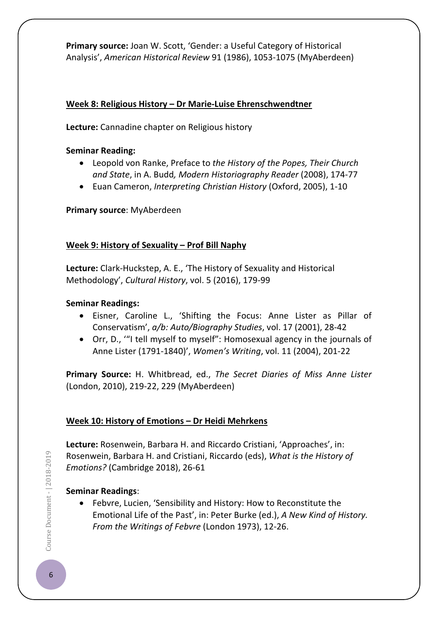**Primary source:** Joan W. Scott, 'Gender: a Useful Category of Historical Analysis', *American Historical Review* 91 (1986), 1053-1075 (MyAberdeen)

### **Week 8: Religious History – Dr Marie-Luise Ehrenschwendtner**

**Lecture:** Cannadine chapter on Religious history

### **Seminar Reading:**

- Leopold von Ranke, Preface to *the History of the Popes, Their Church and State*, in A. Budd*, Modern Historiography Reader* (2008), 174-77
- Euan Cameron, *Interpreting Christian History* (Oxford, 2005), 1-10

## **Primary source**: MyAberdeen

## **Week 9: History of Sexuality – Prof Bill Naphy**

**Lecture:** Clark-Huckstep, A. E., 'The History of Sexuality and Historical Methodology', *Cultural History*, vol. 5 (2016), 179-99

### **Seminar Readings:**

- Eisner, Caroline L., 'Shifting the Focus: Anne Lister as Pillar of Conservatism', *a/b: Auto/Biography Studies*, vol. 17 (2001), 28-42
- Orr, D., '"I tell myself to myself": Homosexual agency in the journals of Anne Lister (1791-1840)', *Women's Writing*, vol. 11 (2004), 201-22

**Primary Source:** H. Whitbread, ed., *The Secret Diaries of Miss Anne Lister* (London, 2010), 219-22, 229 (MyAberdeen)

## **Week 10: History of Emotions – Dr Heidi Mehrkens**

**Lecture:** Rosenwein, Barbara H. and Riccardo Cristiani, 'Approaches', in: Rosenwein, Barbara H. and Cristiani, Riccardo (eds), *What is the History of Emotions?* (Cambridge 2018), 26-61

## **Seminar Readings**:

• Febvre, Lucien, 'Sensibility and History: How to Reconstitute the Emotional Life of the Past', in: Peter Burke (ed.), *A New Kind of History. From the Writings of Febvre* (London 1973), 12-26.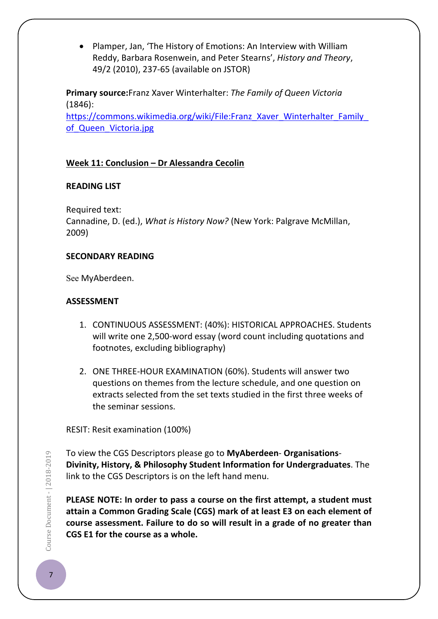• Plamper, Jan, 'The History of Emotions: An Interview with William Reddy, Barbara Rosenwein, and Peter Stearns', *History and Theory*, 49/2 (2010), 237-65 (available on JSTOR)

**Primary source:**Franz Xaver Winterhalter: *The Family of Queen Victoria* (1846):

[https://commons.wikimedia.org/wiki/File:Franz\\_Xaver\\_Winterhalter\\_Family\\_](https://commons.wikimedia.org/wiki/File:Franz_Xaver_Winterhalter_Family_of_Queen_Victoria.jpg) [of\\_Queen\\_Victoria.jpg](https://commons.wikimedia.org/wiki/File:Franz_Xaver_Winterhalter_Family_of_Queen_Victoria.jpg)

## **Week 11: Conclusion – Dr Alessandra Cecolin**

## **READING LIST**

Required text: Cannadine, D. (ed.), *What is History Now?* (New York: Palgrave McMillan, 2009)

## **SECONDARY READING**

See MyAberdeen.

## **ASSESSMENT**

- 1. CONTINUOUS ASSESSMENT: (40%): HISTORICAL APPROACHES. Students will write one 2,500-word essay (word count including quotations and footnotes, excluding bibliography)
- 2. ONE THREE-HOUR EXAMINATION (60%). Students will answer two questions on themes from the lecture schedule, and one question on extracts selected from the set texts studied in the first three weeks of the seminar sessions.

RESIT: Resit examination (100%)

To view the CGS Descriptors please go to **MyAberdeen**- **Organisations**-**Divinity, History, & Philosophy Student Information for Undergraduates**. The link to the CGS Descriptors is on the left hand menu.

**PLEASE NOTE: In order to pass a course on the first attempt, a student must attain a Common Grading Scale (CGS) mark of at least E3 on each element of course assessment. Failure to do so will result in a grade of no greater than CGS E1 for the course as a whole.**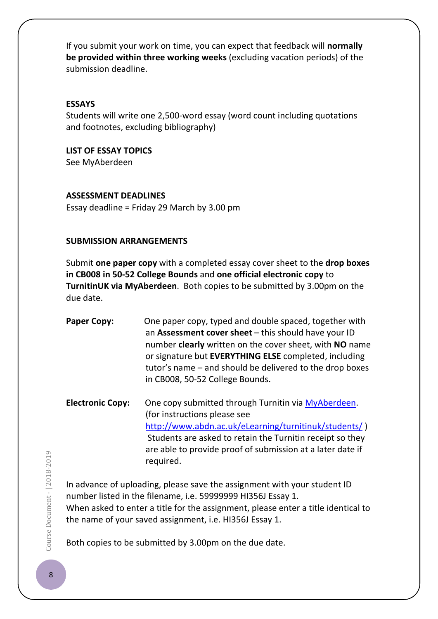If you submit your work on time, you can expect that feedback will **normally be provided within three working weeks** (excluding vacation periods) of the submission deadline.

### **ESSAYS**

Students will write one 2,500-word essay (word count including quotations and footnotes, excluding bibliography)

## **LIST OF ESSAY TOPICS**

See MyAberdeen

### **ASSESSMENT DEADLINES**

Essay deadline = Friday 29 March by 3.00 pm

## **SUBMISSION ARRANGEMENTS**

Submit **one paper copy** with a completed essay cover sheet to the **drop boxes in CB008 in 50-52 College Bounds** and **one official electronic copy** to **TurnitinUK via MyAberdeen**. Both copies to be submitted by 3.00pm on the due date.

| <b>Paper Copy:</b>      | One paper copy, typed and double spaced, together with<br>an Assessment cover sheet - this should have your ID<br>number clearly written on the cover sheet, with NO name<br>or signature but EVERYTHING ELSE completed, including<br>tutor's name – and should be delivered to the drop boxes<br>in CB008, 50-52 College Bounds. |
|-------------------------|-----------------------------------------------------------------------------------------------------------------------------------------------------------------------------------------------------------------------------------------------------------------------------------------------------------------------------------|
| <b>Electronic Copy:</b> | One copy submitted through Turnitin via MyAberdeen.<br>(for instructions please see<br>http://www.abdn.ac.uk/eLearning/turnitinuk/students/)<br>Students are asked to retain the Turnitin receipt so they<br>are able to provide proof of submission at a later date if<br>required.                                              |

In advance of uploading, please save the assignment with your student ID number listed in the filename, i.e. 59999999 HI356J Essay 1. When asked to enter a title for the assignment, please enter a title identical to the name of your saved assignment, i.e. HI356J Essay 1.

Both copies to be submitted by 3.00pm on the due date.